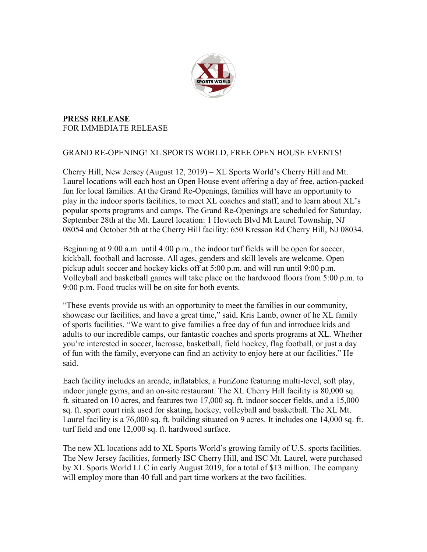

## **PRESS RELEASE** FOR IMMEDIATE RELEASE

## GRAND RE-OPENING! XL SPORTS WORLD, FREE OPEN HOUSE EVENTS!

Cherry Hill, New Jersey (August 12, 2019) – XL Sports World's Cherry Hill and Mt. Laurel locations will each host an Open House event offering a day of free, action-packed fun for local families. At the Grand Re-Openings, families will have an opportunity to play in the indoor sports facilities, to meet XL coaches and staff, and to learn about XL's popular sports programs and camps. The Grand Re-Openings are scheduled for Saturday, September 28th at the Mt. Laurel location: 1 Hovtech Blvd Mt Laurel Township, NJ 08054 and October 5th at the Cherry Hill facility: 650 Kresson Rd Cherry Hill, NJ 08034.

Beginning at 9:00 a.m. until 4:00 p.m., the indoor turf fields will be open for soccer, kickball, football and lacrosse. All ages, genders and skill levels are welcome. Open pickup adult soccer and hockey kicks off at 5:00 p.m. and will run until 9:00 p.m. Volleyball and basketball games will take place on the hardwood floors from 5:00 p.m. to 9:00 p.m. Food trucks will be on site for both events.

"These events provide us with an opportunity to meet the families in our community, showcase our facilities, and have a great time," said, Kris Lamb, owner of he XL family of sports facilities. "We want to give families a free day of fun and introduce kids and adults to our incredible camps, our fantastic coaches and sports programs at XL. Whether you're interested in soccer, lacrosse, basketball, field hockey, flag football, or just a day of fun with the family, everyone can find an activity to enjoy here at our facilities." He said.

Each facility includes an arcade, inflatables, a FunZone featuring multi-level, soft play, indoor jungle gyms, and an on-site restaurant. The XL Cherry Hill facility is 80,000 sq. ft. situated on 10 acres, and features two 17,000 sq. ft. indoor soccer fields, and a 15,000 sq. ft. sport court rink used for skating, hockey, volleyball and basketball. The XL Mt. Laurel facility is a 76,000 sq. ft. building situated on 9 acres. It includes one 14,000 sq. ft. turf field and one 12,000 sq. ft. hardwood surface.

The new XL locations add to XL Sports World's growing family of U.S. sports facilities. The New Jersey facilities, formerly ISC Cherry Hill, and ISC Mt. Laurel, were purchased by XL Sports World LLC in early August 2019, for a total of \$13 million. The company will employ more than 40 full and part time workers at the two facilities.